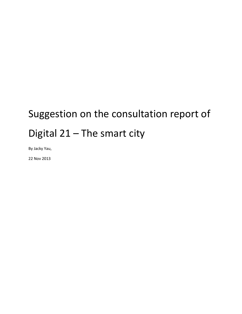# Suggestion on the consultation report of Digital 21 – The smart city

By Jacky Yau,

22 Nov 2013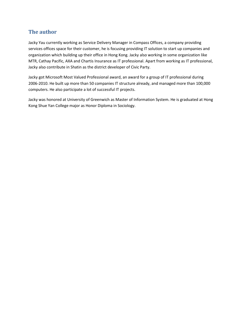#### **The author**

Jacky Yau currently working as Service Delivery Manager in Compass Offices, a company providing services offices space for their customer, he is focusing providing IT solution to start up companies and organization which building up their office in Hong Kong. Jacky also working in some organization like MTR, Cathay Pacific, AXA and Chartis Insurance as IT professional. Apart from working as IT professional, Jacky also contribute in Shatin as the district developer of Civic Party.

Jacky got Microsoft Most Valued Professional award, an award for a group of IT professional during 2006-2010. He built up more than 50 companies IT structure already, and managed more than 100,000 computers. He also participate a lot of successful IT projects.

Jacky was honored at University of Greenwich as Master of Information System. He is graduated at Hong Kong Shue Yan College major as Honor Diploma in Sociology.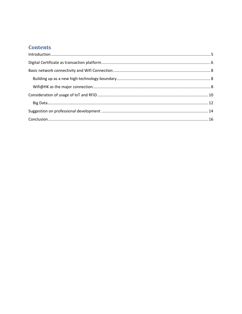## **Contents**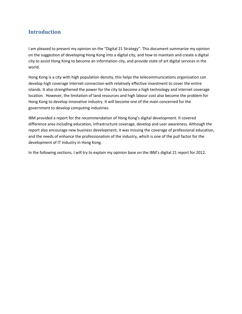#### <span id="page-4-0"></span>**Introduction**

I am pleased to present my opinion on the "Digital 21 Strategy". This document summarize my opinion on the suggestion of developing Hong Kong into a digital city, and how to maintain and create a digital city to assist Hong Kong to become an information city, and provide state of art digital services in the world.

Hong Kong is a city with high population density, this helps the telecommunications organization can develop high coverage Internet connection with relatively effective investment to cover the entire islands. It also strengthened the power for the city to become a high technology and internet coverage location. However, the limitation of land resources and high labour cost also become the problem for Hong Kong to develop innovative industry. It will become one of the main concerned for the government to develop computing industries.

IBM provided a report for the recommendation of Hong Kong's digital development. It covered difference area including education, infrastructure coverage, develop and user awareness. Although the report also encourage new business development, it was missing the coverage of professional education, and the needs of enhance the professionalism of the industry, which is one of the pull factor for the development of IT Industry in Hong Kong.

In the following sections, I will try to explain my opinion base on the IBM's digital 21 report for 2012.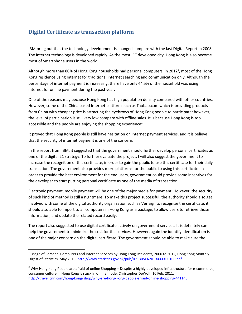## <span id="page-5-0"></span>**Digital Certificate as transaction platform**

IBM bring out that the technology development is changed compare with the last Digital Report in 2008. The internet technology is developed rapidly. As the most ICT developed city, Hong Kong is also become most of Smartphone users in the world.

Although more than 80% of Hong Kong households had personal computers in 2012<sup>1</sup>, most of the Hong Kong residence using Internet for traditional internet searching and communication only. Although the percentage of internet payment is increasing, there have only 44.5% of the household was using internet for online payment during the past year.

One of the reasons may because Hong Kong has high population density compared with other countries. However, some of the China based Internet platform such as Taobao.com which is providing products from China with cheaper price is attracting the eyebrows of Hong Kong people to participate; however, the level of participation is still very low compare with offline sales. It is because Hong Kong is too accessible and the people are enjoying the shopping experience<sup>2</sup>.

It proved that Hong Kong people is still have hesitation on internet payment services, and it is believe that the security of internet payment is one of the concern.

In the report from IBM, it suggested that the government should further develop personal certificates as one of the digital 21 strategy. To further evaluate the project, I will also suggest the government to increase the recognition of this certificate, in order to gain the public to use this certificate for their daily transaction. The government also provides more platforms for the public to using this certificate. In order to provide the best environment for the end users, government could provide some incentives for the developer to start putting personal certificate as one of the media of transaction.

Electronic payment, mobile payment will be one of the major media for payment. However, the security of such kind of method is still a nightmare. To make this project successful, the authority should also get involved with some of the digital authority organization such as Verisign to recognize the certificate, it should also able to import to all computers in Hong Kong as a package, to allow users to retrieve those information, and update the related record easily.

The report also suggested to use digital certificate actively on government services. It is definitely can help the government to minimize the cost for the services. However, again the identify identification is one of the major concern on the digital certificate. The government should be able to make sure the

 $\overline{\phantom{a}}$ 

 $^1$  Usage of Personal Computers and Internet Services by Hong Kong Residents, 2000 to 2012, Hong Kong Monthly Digest of Statistics, May 2013;<http://www.statistics.gov.hk/pub/B71305FA2013XXXXB0100.pdf>

 $<sup>2</sup>$  Why Hong Kong People are afraid of online Shopping – Despite a highly developed infrastructure for e-commerce,</sup> consumer culture in Hong Kong is stuck in offline mode, Christopher DeWolf, 16 Feb, 2011; <http://travel.cnn.com/hong-kong/shop/why-are-hong-kong-people-afraid-online-shopping-441145>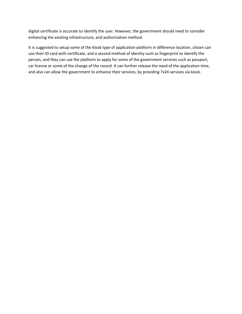digital certificate is accurate to identify the user. However, the government should need to consider enhancing the existing infrastructure, and authorization method.

It is suggested to setup some of the Kiosk type of application platform in difference location, citizen can use their ID card with certificate, and a second method of identity such as fingerprint to identify the person, and they can use the platform to apply for some of the government services such as passport, car license or some of the change of the record. It can further release the need of the application time, and also can allow the government to enhance their services, by providing 7x24 services via kiosk.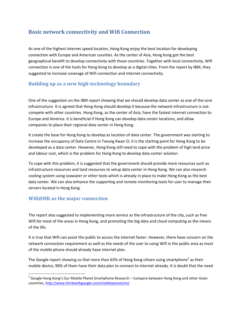#### <span id="page-7-0"></span>**Basic network connectivity and Wifi Connection**

As one of the highest internet speed location, Hong Kong enjoy the best location for developing connection with Europe and American counties. As the center of Asia, Hong Kong got the best geographical benefit to develop connectivity with those countries. Together with local connectivity, Wifi connection is one of the tools for Hong Kong to develop as a digital cities. From the report by IBM, they suggested to increase coverage of Wifi connection and internet connectivity.

#### <span id="page-7-1"></span>**Building up as a new high-technology boundary**

One of the suggestion on the IBM report showing that we should develop data center as one of the core infrastructure. It is agreed that Hong Kong should develop it because the network infrastructure is outcompete with other countries. Hong Kong, as the center of Asia, have the fastest internet connection to Europe and America. It is beneficial if Hong Kong can develop data center locations, and allow companies to place their regional data center in Hong Kong.

It create the base for Hong Kong to develop as location of data center. The government was starting to increase the occupancy of Data Centre in Tseung Kwan O; it is the starting point for Hong Kong to be developed as a data center. However, Hong Kong still need to cope with the problem of high land price and labour cost, which is the problem for Hong Kong to develop data center solution.

To cope with this problem, it is suggested that the government should provide more resources such as infrastructure resources and land resources to setup data center in Hong Kong. We can also research cooling system using seawater or other tools which is already in place to make Hong Kong as the best data center. We can also enhance the supporting and remote monitoring tools for user to manage their servers located in Hong Kong.

#### <span id="page-7-2"></span>**Wifi@HK as the major connection**

l

The report also suggested to implementing more service as the infrastructure of the city, such as free Wifi for most of the areas in Hong Kong, and promoting the big data and cloud computing as the means of the life.

It is true that Wifi can assist the public to access the internet faster. However, there have concern on the network connection requirement as well as the needs of the user to using Wifi in the public area as most of the mobile phone should already have internet plan.

The Google report showing us that more than 63% of Hong Kong citizen using smartphone<sup>3</sup> as their mobile device, 96% of them have their data plan to connect to internet already. It is doubt that the need

 $3$  Google Hong Kong's Our Mobile Planet Smartphone Research – Compare between Hong Kong and other Asian countries,<http://www.thinkwithgoogle.com/mobileplanet/en/>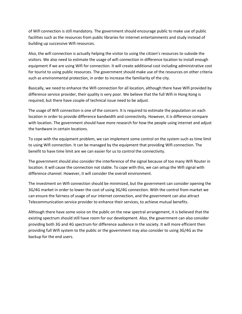of Wifi connection is still mandatory. The government should encourage public to make use of public facilities such as the resources from public libraries for internet entertainments and study instead of building up successive Wifi resources.

Also, the wifi connection is actually helping the visitor to using the citizen's resources to subside the visitors. We also need to estimate the usage of wifi connection in difference location to install enough equipment if we are using Wifi for connection. It will create additional cost including administrative cost for tourist to using public resources. The government should make use of the resources on other criteria such as environmental protection, in order to increase the familiarity of the city.

Basically, we need to enhance the Wifi connection for all location, although there have Wifi provided by difference service provider, their quality is very poor. We believe that the full Wifi in Hong Kong is required, but there have couple of technical issue need to be adjust.

The usage of Wifi connection is one of the concern. It is required to estimate the population on each location in order to provide difference bandwidth and connectivity. However, it is difference compare with location. The government should have more research for how the people using internet and adjust the hardware in certain locations.

To cope with the equipment problem, we can implement some control on the system such as time limit to using Wifi connection. It can be managed by the equipment that providing WIfi connection. The benefit to have time limit are we can easier for us to control the connectivity.

The government should also consider the interference of the signal because of too many Wifi Router in location. It will cause the connection not stable. To cope with this, we can setup the Wifi signal with difference channel. However, it will consider the overall environment.

The investment on Wifi connection should be minimized, but the government can consider opening the 3G/4G market in order to lower the cost of using 3G/4G connection. With the control from market we can ensure the fairness of usage of our internet connection, and the government can also attract Telecommunication service provider to enhance their services, to achieve mutual benefits.

Although there have some voice on the public on the new spectral arrangement, it is believed that the existing spectrum should still have room for our development. Also, the government can also consider providing both 3G and 4G spectrum for difference audience in the society. It will more efficient then providing full Wifi system to the public or the government may also consider to using 3G/4G as the backup for the end users.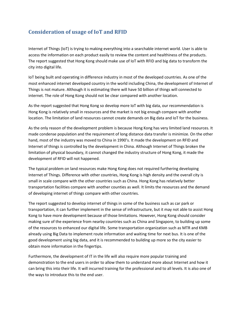### <span id="page-9-0"></span>**Consideration of usage of IoT and RFID**

Internet of Things (IoT) is trying to making everything into a searchable internet world. User is able to access the information on each product easily to review the content and healthiness of the products. The report suggested that Hong Kong should make use of IoT with RFID and big data to transform the city into digital life.

IoT being built and operating in difference industry in most of the developed countries. As one of the most enhanced internet developed country in the world including China, the development of Internet of Things is not mature. Although it is estimating there will have 50 billion of things will connected to internet. The role of Hong Kong should not be clear compared with another location.

As the report suggested that Hong Kong so develop more IoT with big data, our recommendation is Hong Kong is relatively small in resources and the market is not big enough compare with another location. The limitation of land resources cannot create demands on Big data and IoT for the business.

As the only reason of the development problem is because Hong Kong has very limited land resources. It made condense population and the requirement of long distance data transfer is minimize. On the other hand, most of the industry was moved to China in 1990's. It made the development on RFID and Internet of things is controlled by the development in China. Although Internet of Things broken the limitation of physical boundary, it cannot changed the industry structure of Hong Kong, it made the development of RFID will not happened.

The typical problem on land resources make Hong Kong does not required furthering developing Internet of Things. Difference with other countries, Hong Kong is high density and the overall city is small in scale compare with the other countries such as China. Hong Kong has relatively better transportation facilities compare with another counties as well. It limits the resources and the demand of developing internet of things compare with other countries.

The report suggested to develop internet of things in some of the business such as car park or transportation, it can further implement in the sense of infrastructure, but it may not able to assist Hong Kong to have more development because of those limitations. However, Hong Kong should consider making sure of the experience from nearby countries such as China and Singapore, to building up some of the resources to enhanced our digital life. Some transportation organization such as MTR and KMB already using Big Data to implement route information and waiting time for next bus. It is one of the good development using big data, and it is recommended to building up more so the city easier to obtain more information in the fingertips.

Furthermore, the development of IT in the life will also require more popular training and demonstration to the end users in order to allow them to understand more about Internet and how it can bring this into their life. It will incurred training for the professional and to all levels. It is also one of the ways to introduce this to the end user.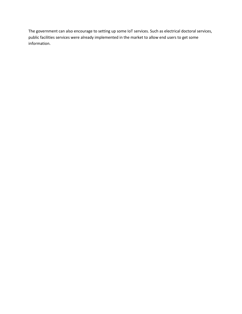The government can also encourage to setting up some IoT services. Such as electrical doctoral services, public facilities services were already implemented in the market to allow end users to get some information.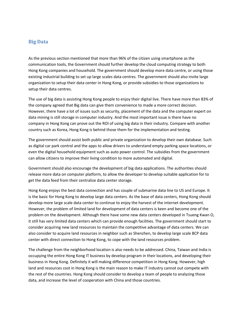#### <span id="page-11-0"></span>**Big Data**

As the previous section mentioned that more than 96% of the citizen using smartphone as the communication tools, the Government should further develop the cloud computing strategy to both Hong Kong companies and household. The government should develop more data centre, or using those existing industrial building to set up large scales data centres. The government should also invite large organization to setup their data center in Hong Kong, or provide subsidies to those organizations to setup their data centres.

The use of big data is assisting Hong Kong people to enjoy their digital live. There have more than 83% of the company agreed that Big data can give them convenience to made a more correct decision. However, there have a lot of issues such as security, placement of the data and the computer expert on data mining is still storage in computer industry. And the most important issue is there have no company in Hong Kong can prove out the ROI of using big data in their industry. Compare with another country such as Korea, Hong Kong is behind those them for the implementation and testing.

The government should assist both public and private organization to develop their own database. Such as digital car park control and the apps to allow drivers to understand empty parking space locations, or even the digital household equipment such as auto power control. The subsidies from the government can allow citizens to improve their living condition to more automated and digital.

Government should also encourage the development of big data applications. The authorities should release more data on computer platform, to allow the developer to develop suitable application for to get the data feed from their centralize data center storage.

Hong Kong enjoys the best data connection and has couple of submarine data line to US and Europe. It is the basic for Hong Kong to develop large data centers. As the base of data centers, Hong Kong should develop more large scale data center to continue to enjoy the harvest of the internet development. However, the problem of limited land for development of data centers is keen and become one of the problem on the development. Although there have some new data centers developed in Tsueng Kwan O, it still has very limited data centers which can provide enough facilities. The government should start to consider acquiring new land resources to maintain the competitive advantage of data centers. We can also consider to acquire land resources in neighbor such as Shenzhen, to develop large scale BCP data center with direct connection to Hong Kong, to cope with the land resources problem.

The challenge from the neighborhood location is also needs to be addressed. China, Taiwan and India is occupying the entire Hong Kong IT business by develop program in their locations, and developing their business in Hong Kong. Definitely it will making difference competition in Hong Kong. However, high land and resources cost in Hong Kong is the main reason to make IT industry cannot out compete with the rest of the countries. Hong Kong should consider to develop a team of people to analyzing those data, and increase the level of cooperation with China and those countries.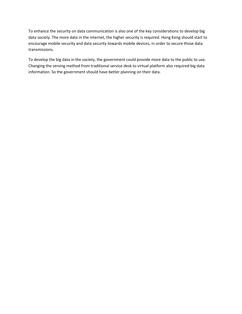To enhance the security on data communication is also one of the key considerations to develop big data society. The more data in the internet, the higher security is required. Hong Kong should start to encourage mobile security and data security towards mobile devices, in order to secure those data transmissions.

To develop the big data in the society, the government could provide more data to the public to use. Changing the serving method from traditional service desk to virtual platform also required big data information. So the government should have better planning on their data.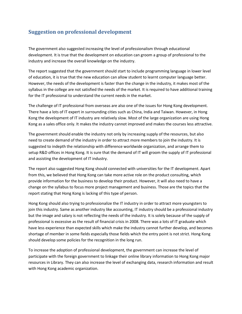### <span id="page-13-0"></span>**Suggestion on professional development**

The government also suggested increasing the level of professionalism through educational development. It is true that the development on education can groom a group of professional to the industry and increase the overall knowledge on the industry.

The report suggested that the government should start to include programming language in lower level of education, it is true that the new education can allow student to learnt computer language better. However, the needs of the development is faster than the change in the industry, it makes most of the syllabus in the college are not satisfied the needs of the market. It is required to have additional training for the IT professional to understand the current needs in the market.

The challenge of IT professional from overseas are also one of the issues for Hong Kong development. There have a lots of IT expert in surrounding cities such as China, India and Taiwan. However, in Hong Kong the development of IT industry are relatively slow. Most of the large organization are using Hong Kong as a sales office only. It makes the industry cannot improved and makes the courses less attractive.

The government should enable the industry not only by increasing supply of the resources, but also need to create demand of the industry in order to attract more members to join the industry. It is suggested to indepth the relationship with difference worldwide organization, and arrange them to setup R&D offices in Hong Kong. It is sure that the demand of IT will groom the supply of IT professional and assisting the development of IT industry.

The report also suggested Hong Kong should connected with universities for the IT development. Apart from this, we believed that Hong Kong can take more active role on the product consulting, which provide information for the business to develop their product. However, it will also need to have a change on the syllabus to focus more project management and business. Those are the topics that the report stating that Hong Kong is lacking of this type of person.

Hong Kong should also trying to professionalize the IT industry in order to attract more youngsters to join this industry. Same as another industry like accounting, IT industry should be a professional industry but the image and salary is not reflecting the needs of the industry. It is solely because of the supply of professional is excessive as the result of financial crisis in 2008. There was a lots of IT graduate which have less experience than expected skills which make the industry cannot further develop, and becomes shortage of member in some fields especially those fields which the entry point is not strict. Hong Kong should develop some policies for the recognition in the long run.

To increase the adoption of professional development, the government can increase the level of participate with the foreign government to linkage their online library information to Hong Kong major resources in Library. They can also increase the level of exchanging data, research information and result with Hong Kong academic organization.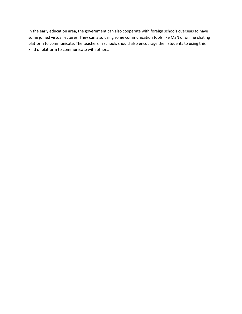In the early education area, the government can also cooperate with foreign schools overseas to have some joined virtual lectures. They can also using some communication tools like MSN or online chating platform to communicate. The teachers in schools should also encourage their students to using this kind of platform to communicate with others.